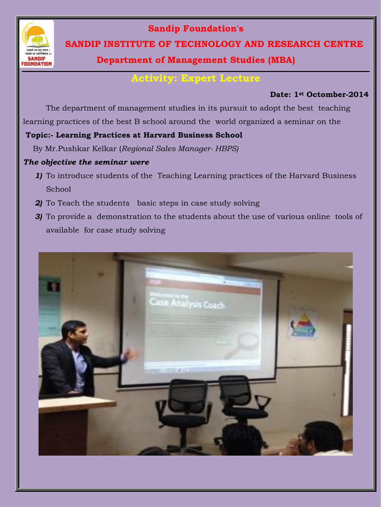

### **Sandip Foundation's**

 **SANDIP INSTITUTE OF TECHNOLOGY AND RESEARCH CENTRE**

# **Department of Management Studies (MBA)**

# **Activity: Expert Lecture**

#### **Date: 1st Octomber-2014**

The department of management studies in its pursuit to adopt the best teaching learning practices of the best B school around the world organized a seminar on the

### **Topic:- Learning Practices at Harvard Business School**

By Mr.Pushkar Kelkar (*Regional Sales Manager- HBPS)* 

#### *The objective the seminar were*

- *1)* To introduce students of the Teaching Learning practices of the Harvard Business School
- *2)* To Teach the students basic steps in case study solving
- *3)* To provide a demonstration to the students about the use of various online tools of available for case study solving